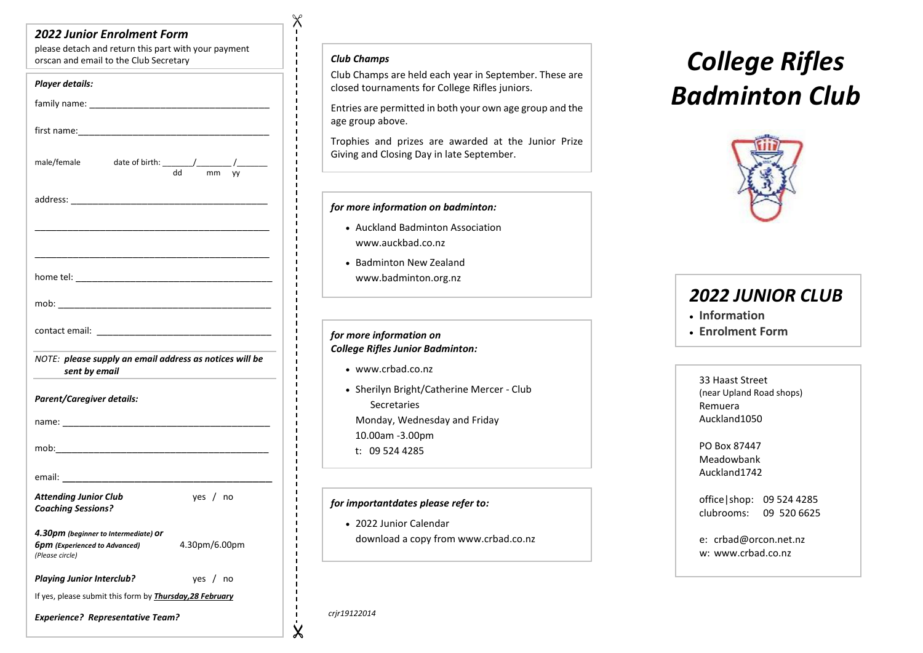### *2022 Junior Enrolment Form*

please detach and return this part with your payment orscan and email to the Club Secretary *Club Champs*

| <b>Player details:</b>                                                                                                                                                                                                         |  |
|--------------------------------------------------------------------------------------------------------------------------------------------------------------------------------------------------------------------------------|--|
|                                                                                                                                                                                                                                |  |
|                                                                                                                                                                                                                                |  |
| date of birth: $\frac{1}{d}$ mm vv<br>male/female                                                                                                                                                                              |  |
| address: and the contract of the contract of the contract of the contract of the contract of the contract of the contract of the contract of the contract of the contract of the contract of the contract of the contract of t |  |
|                                                                                                                                                                                                                                |  |
|                                                                                                                                                                                                                                |  |
|                                                                                                                                                                                                                                |  |
|                                                                                                                                                                                                                                |  |
| NOTE: please supply an email address as notices will be<br>sent by email                                                                                                                                                       |  |
| Parent/Caregiver details:                                                                                                                                                                                                      |  |
|                                                                                                                                                                                                                                |  |
|                                                                                                                                                                                                                                |  |
|                                                                                                                                                                                                                                |  |
| <b>Attending Junior Club</b><br>yes $/$ no<br><b>Coaching Sessions?</b>                                                                                                                                                        |  |
| 4.30pm (beginner to Intermediate) Or<br>4.30pm/6.00pm<br><b>6pm</b> (Experienced to Advanced)<br>(Please circle)                                                                                                               |  |
| <b>Playing Junior Interclub?</b><br>yes $/$ no                                                                                                                                                                                 |  |
| If yes, please submit this form by <b>Thursday, 28 February</b>                                                                                                                                                                |  |
| <b>Experience? Representative Team?</b>                                                                                                                                                                                        |  |

 $\chi$ 

 $\blacksquare$  $\blacksquare$ 

> Club Champs are held each year in September. These are closed tournaments for College Rifles juniors.

> Entries are permitted in both your own age group and the age group above.

> Trophies and prizes are awarded at the Junior Prize Giving and Closing Day in late September.

#### *for more information on badminton:*

- Auckland Badminton Association www.auckbad.co.nz
- Badminton New Zealand www.badminton.org.nz

#### *for more information on College Rifles Junior Badminton:*

- www.crbad.co.nz
- Sherilyn Bright/Catherine Mercer Club **Secretaries** Monday, Wednesday and Friday 10.00am -3.00pm
	- t: 09 524 4285

#### *for importantdates please refer to:*

e:crbad@orcon.net.nz

• 2022 Junior Calendar download a copy from www.crbad.co.nz

# *College Rifles Badminton Club*



## *2022 JUNIOR CLUB*

- **Information**
- **Enrolment Form**

33 Haast Street (near Upland Road shops) Remuera Auckland1050

PO Box 87447 Meadowbank Auckland1742

office|shop: 09 524 4285 clubrooms: 09 520 6625

e: crbad@orcon.net.nz w: www.crbad.co.nz

*crjr19122014*